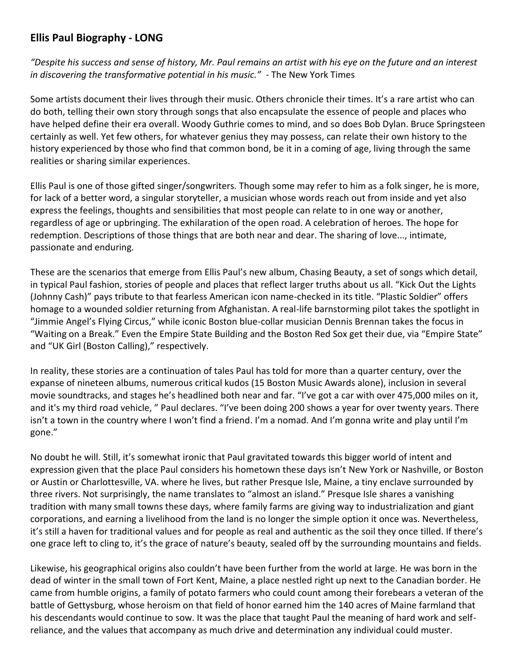## **Ellis Paul Biography - LONG**

*"Despite his success and sense of history, Mr. Paul remains an artist with his eye on the future and an interest in discovering the transformative potential in his music."* - The New York Times

Some artists document their lives through their music. Others chronicle their times. It's a rare artist who can do both, telling their own story through songs that also encapsulate the essence of people and places who have helped define their era overall. Woody Guthrie comes to mind, and so does Bob Dylan. Bruce Springsteen certainly as well. Yet few others, for whatever genius they may possess, can relate their own history to the history experienced by those who find that common bond, be it in a coming of age, living through the same realities or sharing similar experiences.

Ellis Paul is one of those gifted singer/songwriters. Though some may refer to him as a folk singer, he is more, for lack of a better word, a singular storyteller, a musician whose words reach out from inside and yet also express the feelings, thoughts and sensibilities that most people can relate to in one way or another, regardless of age or upbringing. The exhilaration of the open road. A celebration of heroes. The hope for redemption. Descriptions of those things that are both near and dear. The sharing of love..., intimate, passionate and enduring.

These are the scenarios that emerge from Ellis Paul's new album, Chasing Beauty, a set of songs which detail, in typical Paul fashion, stories of people and places that reflect larger truths about us all. "Kick Out the Lights (Johnny Cash)" pays tribute to that fearless American icon name-checked in its title. "Plastic Soldier" offers homage to a wounded soldier returning from Afghanistan. A real-life barnstorming pilot takes the spotlight in "Jimmie Angel's Flying Circus," while iconic Boston blue-collar musician Dennis Brennan takes the focus in "Waiting on a Break." Even the Empire State Building and the Boston Red Sox get their due, via "Empire State" and "UK Girl (Boston Calling)," respectively.

In reality, these stories are a continuation of tales Paul has told for more than a quarter century, over the expanse of nineteen albums, numerous critical kudos (15 Boston Music Awards alone), inclusion in several movie soundtracks, and stages he's headlined both near and far. "I've got a car with over 475,000 miles on it, and it's my third road vehicle, " Paul declares. "I've been doing 200 shows a year for over twenty years. There isn't a town in the country where I won't find a friend. I'm a nomad. And I'm gonna write and play until I'm gone."

No doubt he will. Still, it's somewhat ironic that Paul gravitated towards this bigger world of intent and expression given that the place Paul considers his hometown these days isn't New York or Nashville, or Boston or Austin or Charlottesville, VA. where he lives, but rather Presque Isle, Maine, a tiny enclave surrounded by three rivers. Not surprisingly, the name translates to "almost an island." Presque Isle shares a vanishing tradition with many small towns these days, where family farms are giving way to industrialization and giant corporations, and earning a livelihood from the land is no longer the simple option it once was. Nevertheless, it's still a haven for traditional values and for people as real and authentic as the soil they once tilled. If there's one grace left to cling to, it's the grace of nature's beauty, sealed off by the surrounding mountains and fields.

Likewise, his geographical origins also couldn't have been further from the world at large. He was born in the dead of winter in the small town of Fort Kent, Maine, a place nestled right up next to the Canadian border. He came from humble origins, a family of potato farmers who could count among their forebears a veteran of the battle of Gettysburg, whose heroism on that field of honor earned him the 140 acres of Maine farmland that his descendants would continue to sow. It was the place that taught Paul the meaning of hard work and selfreliance, and the values that accompany as much drive and determination any individual could muster.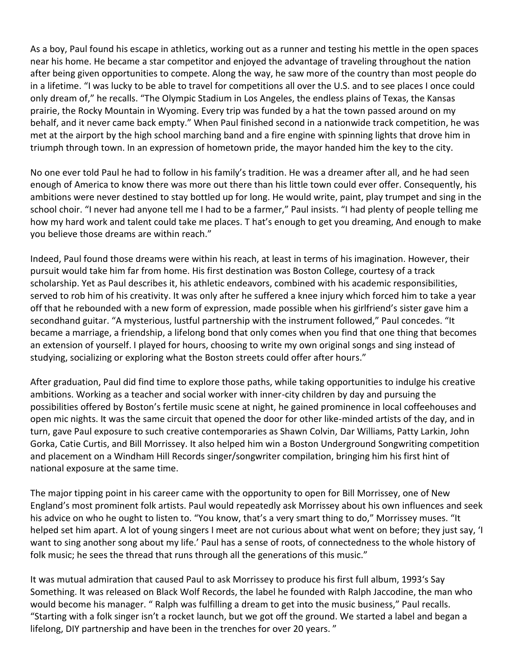As a boy, Paul found his escape in athletics, working out as a runner and testing his mettle in the open spaces near his home. He became a star competitor and enjoyed the advantage of traveling throughout the nation after being given opportunities to compete. Along the way, he saw more of the country than most people do in a lifetime. "I was lucky to be able to travel for competitions all over the U.S. and to see places I once could only dream of," he recalls. "The Olympic Stadium in Los Angeles, the endless plains of Texas, the Kansas prairie, the Rocky Mountain in Wyoming. Every trip was funded by a hat the town passed around on my behalf, and it never came back empty." When Paul finished second in a nationwide track competition, he was met at the airport by the high school marching band and a fire engine with spinning lights that drove him in triumph through town. In an expression of hometown pride, the mayor handed him the key to the city.

No one ever told Paul he had to follow in his family's tradition. He was a dreamer after all, and he had seen enough of America to know there was more out there than his little town could ever offer. Consequently, his ambitions were never destined to stay bottled up for long. He would write, paint, play trumpet and sing in the school choir. "I never had anyone tell me I had to be a farmer," Paul insists. "I had plenty of people telling me how my hard work and talent could take me places. T hat's enough to get you dreaming, And enough to make you believe those dreams are within reach."

Indeed, Paul found those dreams were within his reach, at least in terms of his imagination. However, their pursuit would take him far from home. His first destination was Boston College, courtesy of a track scholarship. Yet as Paul describes it, his athletic endeavors, combined with his academic responsibilities, served to rob him of his creativity. It was only after he suffered a knee injury which forced him to take a year off that he rebounded with a new form of expression, made possible when his girlfriend's sister gave him a secondhand guitar. "A mysterious, lustful partnership with the instrument followed," Paul concedes. "It became a marriage, a friendship, a lifelong bond that only comes when you find that one thing that becomes an extension of yourself. I played for hours, choosing to write my own original songs and sing instead of studying, socializing or exploring what the Boston streets could offer after hours."

After graduation, Paul did find time to explore those paths, while taking opportunities to indulge his creative ambitions. Working as a teacher and social worker with inner-city children by day and pursuing the possibilities offered by Boston's fertile music scene at night, he gained prominence in local coffeehouses and open mic nights. It was the same circuit that opened the door for other like-minded artists of the day, and in turn, gave Paul exposure to such creative contemporaries as Shawn Colvin, Dar Williams, Patty Larkin, John Gorka, Catie Curtis, and Bill Morrissey. It also helped him win a Boston Underground Songwriting competition and placement on a Windham Hill Records singer/songwriter compilation, bringing him his first hint of national exposure at the same time.

The major tipping point in his career came with the opportunity to open for Bill Morrissey, one of New England's most prominent folk artists. Paul would repeatedly ask Morrissey about his own influences and seek his advice on who he ought to listen to. "You know, that's a very smart thing to do," Morrissey muses. "It helped set him apart. A lot of young singers I meet are not curious about what went on before; they just say, 'I want to sing another song about my life.' Paul has a sense of roots, of connectedness to the whole history of folk music; he sees the thread that runs through all the generations of this music."

It was mutual admiration that caused Paul to ask Morrissey to produce his first full album, 1993's Say Something. It was released on Black Wolf Records, the label he founded with Ralph Jaccodine, the man who would become his manager. " Ralph was fulfilling a dream to get into the music business," Paul recalls. "Starting with a folk singer isn't a rocket launch, but we got off the ground. We started a label and began a lifelong, DIY partnership and have been in the trenches for over 20 years. "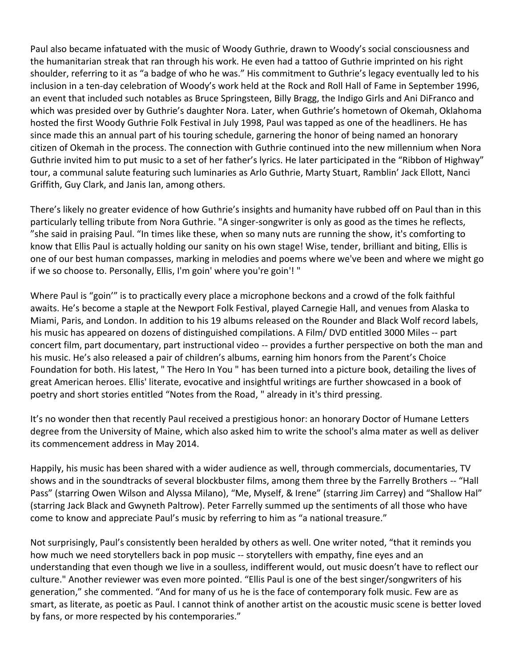Paul also became infatuated with the music of Woody Guthrie, drawn to Woody's social consciousness and the humanitarian streak that ran through his work. He even had a tattoo of Guthrie imprinted on his right shoulder, referring to it as "a badge of who he was." His commitment to Guthrie's legacy eventually led to his inclusion in a ten-day celebration of Woody's work held at the Rock and Roll Hall of Fame in September 1996, an event that included such notables as Bruce Springsteen, Billy Bragg, the Indigo Girls and Ani DiFranco and which was presided over by Guthrie's daughter Nora. Later, when Guthrie's hometown of Okemah, Oklahoma hosted the first Woody Guthrie Folk Festival in July 1998, Paul was tapped as one of the headliners. He has since made this an annual part of his touring schedule, garnering the honor of being named an honorary citizen of Okemah in the process. The connection with Guthrie continued into the new millennium when Nora Guthrie invited him to put music to a set of her father's lyrics. He later participated in the "Ribbon of Highway" tour, a communal salute featuring such luminaries as Arlo Guthrie, Marty Stuart, Ramblin' Jack Ellott, Nanci Griffith, Guy Clark, and Janis Ian, among others.

There's likely no greater evidence of how Guthrie's insights and humanity have rubbed off on Paul than in this particularly telling tribute from Nora Guthrie. "A singer-songwriter is only as good as the times he reflects, "she said in praising Paul. "In times like these, when so many nuts are running the show, it's comforting to know that Ellis Paul is actually holding our sanity on his own stage! Wise, tender, brilliant and biting, Ellis is one of our best human compasses, marking in melodies and poems where we've been and where we might go if we so choose to. Personally, Ellis, I'm goin' where you're goin'! "

Where Paul is "goin'" is to practically every place a microphone beckons and a crowd of the folk faithful awaits. He's become a staple at the Newport Folk Festival, played Carnegie Hall, and venues from Alaska to Miami, Paris, and London. In addition to his 19 albums released on the Rounder and Black Wolf record labels, his music has appeared on dozens of distinguished compilations. A Film/ DVD entitled 3000 Miles -- part concert film, part documentary, part instructional video -- provides a further perspective on both the man and his music. He's also released a pair of children's albums, earning him honors from the Parent's Choice Foundation for both. His latest, " The Hero In You " has been turned into a picture book, detailing the lives of great American heroes. Ellis' literate, evocative and insightful writings are further showcased in a book of poetry and short stories entitled "Notes from the Road, " already in it's third pressing.

It's no wonder then that recently Paul received a prestigious honor: an honorary Doctor of Humane Letters degree from the University of Maine, which also asked him to write the school's alma mater as well as deliver its commencement address in May 2014.

Happily, his music has been shared with a wider audience as well, through commercials, documentaries, TV shows and in the soundtracks of several blockbuster films, among them three by the Farrelly Brothers -- "Hall Pass" (starring Owen Wilson and Alyssa Milano), "Me, Myself, & Irene" (starring Jim Carrey) and "Shallow Hal" (starring Jack Black and Gwyneth Paltrow). Peter Farrelly summed up the sentiments of all those who have come to know and appreciate Paul's music by referring to him as "a national treasure."

Not surprisingly, Paul's consistently been heralded by others as well. One writer noted, "that it reminds you how much we need storytellers back in pop music -- storytellers with empathy, fine eyes and an understanding that even though we live in a soulless, indifferent would, out music doesn't have to reflect our culture." Another reviewer was even more pointed. "Ellis Paul is one of the best singer/songwriters of his generation," she commented. "And for many of us he is the face of contemporary folk music. Few are as smart, as literate, as poetic as Paul. I cannot think of another artist on the acoustic music scene is better loved by fans, or more respected by his contemporaries."